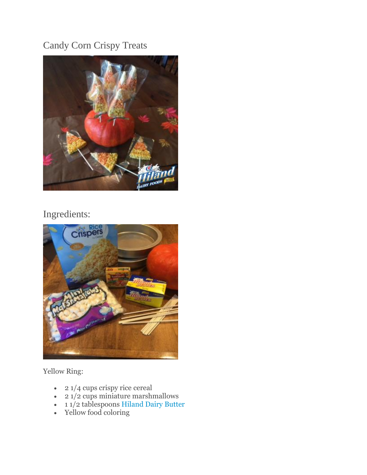# Candy Corn Crispy Treats



# Ingredients:



Yellow Ring:

- 2 1/4 cups crispy rice cereal
- 2 1/2 cups miniature marshmallows
- 11/2 tablespoons [Hiland Dairy Butter](http://hilanddairy.com/products/butters/)
- Yellow food coloring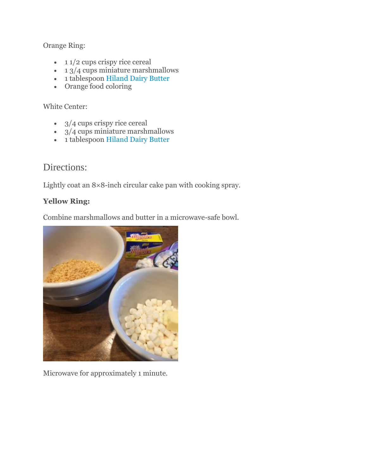### Orange Ring:

- $\cdot$  11/2 cups crispy rice cereal
- $\cdot$  1  $3/4$  cups miniature marshmallows
- 1 tablespoon [Hiland Dairy Butter](http://hilanddairy.com/products/butters/)
- Orange food coloring

### White Center:

- 3/4 cups crispy rice cereal
- $\cdot$  3/4 cups miniature marshmallows
- 1 tablespoon [Hiland Dairy Butter](http://hilanddairy.com/products/butters/)

# Directions:

Lightly coat an 8×8-inch circular cake pan with cooking spray.

### **Yellow Ring:**

Combine marshmallows and butter in a microwave-safe bowl.



Microwave for approximately 1 minute.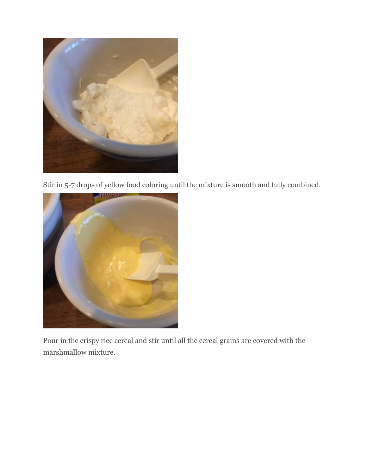

Stir in 5-7 drops of yellow food coloring until the mixture is smooth and fully combined.



Pour in the crispy rice cereal and stir until all the cereal grains are covered with the marshmallow mixture.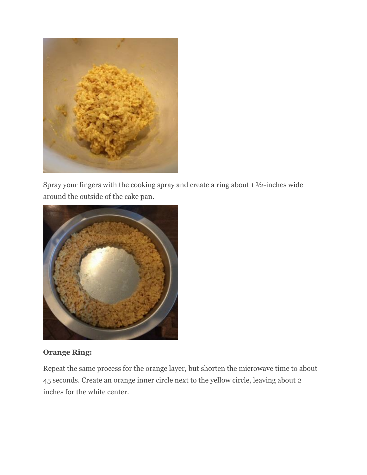

Spray your fingers with the cooking spray and create a ring about 1 ½-inches wide around the outside of the cake pan.



## **Orange Ring:**

Repeat the same process for the orange layer, but shorten the microwave time to about 45 seconds. Create an orange inner circle next to the yellow circle, leaving about 2 inches for the white center.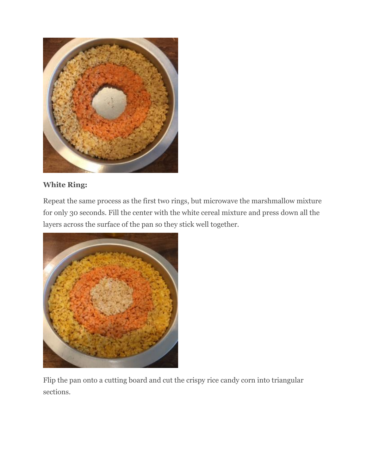

## **White Ring:**

Repeat the same process as the first two rings, but microwave the marshmallow mixture for only 30 seconds. Fill the center with the white cereal mixture and press down all the layers across the surface of the pan so they stick well together.



Flip the pan onto a cutting board and cut the crispy rice candy corn into triangular sections.